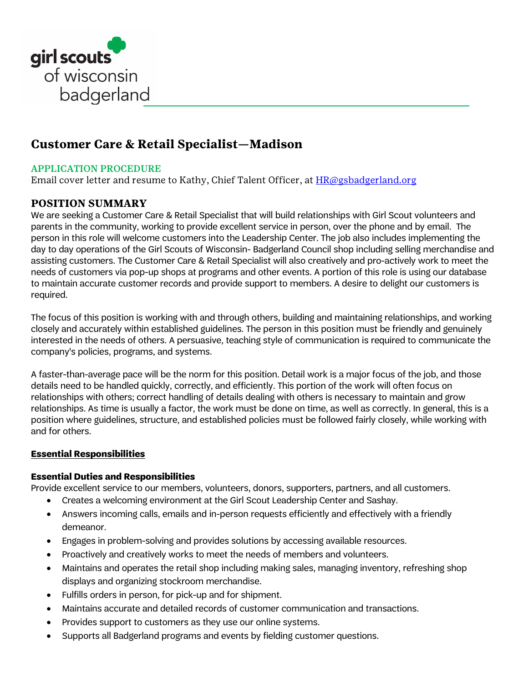

# **Customer Care & Retail Specialist—Madison**

# APPLICATION PROCEDURE

Email cover letter and resume to Kathy, Chief Talent Officer, at **HR**@gsbadgerland.org

# **POSITION SUMMARY**

We are seeking a Customer Care & Retail Specialist that will build relationships with Girl Scout volunteers and parents in the community, working to provide excellent service in person, over the phone and by email. The person in this role will welcome customers into the Leadership Center. The job also includes implementing the day to day operations of the Girl Scouts of Wisconsin- Badgerland Council shop including selling merchandise and assisting customers. The Customer Care & Retail Specialist will also creatively and pro-actively work to meet the needs of customers via pop-up shops at programs and other events. A portion of this role is using our database to maintain accurate customer records and provide support to members. A desire to delight our customers is required.

The focus of this position is working with and through others, building and maintaining relationships, and working closely and accurately within established guidelines. The person in this position must be friendly and genuinely interested in the needs of others. A persuasive, teaching style of communication is required to communicate the company's policies, programs, and systems.

A faster-than-average pace will be the norm for this position. Detail work is a major focus of the job, and those details need to be handled quickly, correctly, and efficiently. This portion of the work will often focus on relationships with others; correct handling of details dealing with others is necessary to maintain and grow relationships. As time is usually a factor, the work must be done on time, as well as correctly. In general, this is a position where guidelines, structure, and established policies must be followed fairly closely, while working with and for others.

# **Essential Responsibilities**

# **Essential Duties and Responsibilities**

Provide excellent service to our members, volunteers, donors, supporters, partners, and all customers.

- Creates a welcoming environment at the Girl Scout Leadership Center and Sashay.
- Answers incoming calls, emails and in-person requests efficiently and effectively with a friendly demeanor.
- Engages in problem-solving and provides solutions by accessing available resources.
- Proactively and creatively works to meet the needs of members and volunteers.
- Maintains and operates the retail shop including making sales, managing inventory, refreshing shop displays and organizing stockroom merchandise.
- Fulfills orders in person, for pick-up and for shipment.
- Maintains accurate and detailed records of customer communication and transactions.
- Provides support to customers as they use our online systems.
- Supports all Badgerland programs and events by fielding customer questions.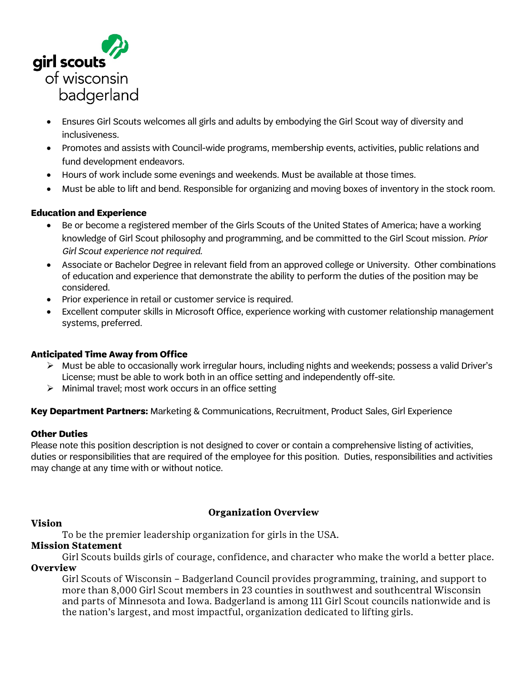

- Ensures Girl Scouts welcomes all girls and adults by embodying the Girl Scout way of diversity and inclusiveness.
- Promotes and assists with Council-wide programs, membership events, activities, public relations and fund development endeavors.
- Hours of work include some evenings and weekends. Must be available at those times.
- Must be able to lift and bend. Responsible for organizing and moving boxes of inventory in the stock room.

# **Education and Experience**

- Be or become a registered member of the Girls Scouts of the United States of America; have a working knowledge of Girl Scout philosophy and programming, and be committed to the Girl Scout mission. *Prior Girl Scout experience not required.*
- Associate or Bachelor Degree in relevant field from an approved college or University. Other combinations of education and experience that demonstrate the ability to perform the duties of the position may be considered.
- Prior experience in retail or customer service is required.
- Excellent computer skills in Microsoft Office, experience working with customer relationship management systems, preferred.

#### **Anticipated Time Away from Office**

- $\triangleright$  Must be able to occasionally work irregular hours, including nights and weekends; possess a valid Driver's License; must be able to work both in an office setting and independently off-site.
- $\triangleright$  Minimal travel; most work occurs in an office setting

**Key Department Partners:** Marketing & Communications, Recruitment, Product Sales, Girl Experience

#### **Other Duties**

Please note this position description is not designed to cover or contain a comprehensive listing of activities, duties or responsibilities that are required of the employee for this position. Duties, responsibilities and activities may change at any time with or without notice.

#### **Vision**

# **Organization Overview**

To be the premier leadership organization for girls in the USA.

# **Mission Statement**

Girl Scouts builds girls of courage, confidence, and character who make the world a better place. **Overview** 

Girl Scouts of Wisconsin – Badgerland Council provides programming, training, and support to more than 8,000 Girl Scout members in 23 counties in southwest and southcentral Wisconsin and parts of Minnesota and Iowa. Badgerland is among 111 Girl Scout councils nationwide and is the nation's largest, and most impactful, organization dedicated to lifting girls.